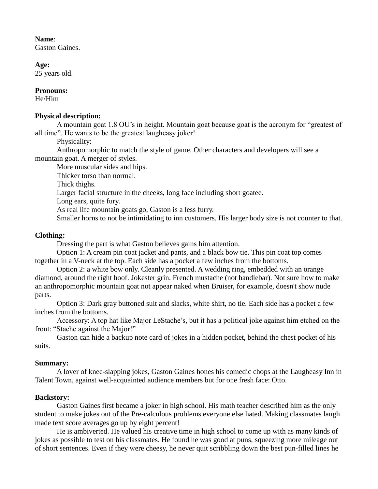#### **Name**:

Gaston Gaines.

**Age:**

25 years old.

#### **Pronouns:**

He/Him

#### **Physical description:**

A mountain goat 1.8 OU's in height. Mountain goat because goat is the acronym for "greatest of all time". He wants to be the greatest laugheasy joker!

Physicality:

Anthropomorphic to match the style of game. Other characters and developers will see a mountain goat. A merger of styles.

More muscular sides and hips.

Thicker torso than normal.

Thick thighs.

Larger facial structure in the cheeks, long face including short goatee.

Long ears, quite fury.

As real life mountain goats go, Gaston is a less furry.

Smaller horns to not be intimidating to inn customers. His larger body size is not counter to that.

# **Clothing:**

Dressing the part is what Gaston believes gains him attention.

Option 1: A cream pin coat jacket and pants, and a black bow tie. This pin coat top comes together in a V-neck at the top. Each side has a pocket a few inches from the bottoms.

Option 2: a white bow only. Cleanly presented. A wedding ring, embedded with an orange diamond, around the right hoof. Jokester grin. French mustache (not handlebar). Not sure how to make an anthropomorphic mountain goat not appear naked when Bruiser, for example, doesn't show nude parts.

Option 3: Dark gray buttoned suit and slacks, white shirt, no tie. Each side has a pocket a few inches from the bottoms.

Accessory: A top hat like Major LeStache's, but it has a political joke against him etched on the front: "Stache against the Major!"

Gaston can hide a backup note card of jokes in a hidden pocket, behind the chest pocket of his suits.

# **Summary:**

A lover of knee-slapping jokes, Gaston Gaines hones his comedic chops at the Laugheasy Inn in Talent Town, against well-acquainted audience members but for one fresh face: Otto.

# **Backstory:**

Gaston Gaines first became a joker in high school. His math teacher described him as the only student to make jokes out of the Pre-calculous problems everyone else hated. Making classmates laugh made text score averages go up by eight percent!

He is ambiverted. He valued his creative time in high school to come up with as many kinds of jokes as possible to test on his classmates. He found he was good at puns, squeezing more mileage out of short sentences. Even if they were cheesy, he never quit scribbling down the best pun-filled lines he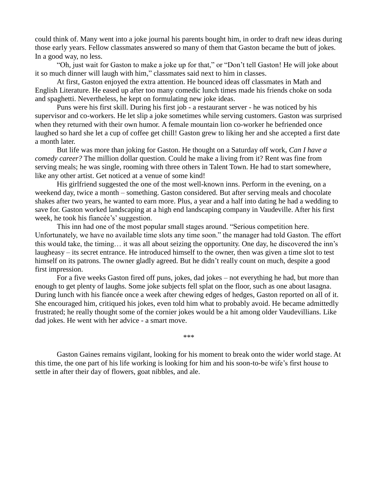could think of. Many went into a joke journal his parents bought him, in order to draft new ideas during those early years. Fellow classmates answered so many of them that Gaston became the butt of jokes. In a good way, no less.

"Oh, just wait for Gaston to make a joke up for that," or "Don't tell Gaston! He will joke about it so much dinner will laugh with him," classmates said next to him in classes.

At first, Gaston enjoyed the extra attention. He bounced ideas off classmates in Math and English Literature. He eased up after too many comedic lunch times made his friends choke on soda and spaghetti. Nevertheless, he kept on formulating new joke ideas.

Puns were his first skill. During his first job - a restaurant server - he was noticed by his supervisor and co-workers. He let slip a joke sometimes while serving customers. Gaston was surprised when they returned with their own humor. A female mountain lion co-worker he befriended once laughed so hard she let a cup of coffee get chill! Gaston grew to liking her and she accepted a first date a month later.

But life was more than joking for Gaston. He thought on a Saturday off work, *Can I have a comedy career?* The million dollar question. Could he make a living from it? Rent was fine from serving meals; he was single, rooming with three others in Talent Town. He had to start somewhere, like any other artist. Get noticed at a venue of some kind!

His girlfriend suggested the one of the most well-known inns. Perform in the evening, on a weekend day, twice a month – something. Gaston considered. But after serving meals and chocolate shakes after two years, he wanted to earn more. Plus, a year and a half into dating he had a wedding to save for. Gaston worked landscaping at a high end landscaping company in Vaudeville. After his first week, he took his fiancée's' suggestion.

This inn had one of the most popular small stages around. "Serious competition here. Unfortunately, we have no available time slots any time soon." the manager had told Gaston. The effort this would take, the timing… it was all about seizing the opportunity. One day, he discovered the inn's laugheasy – its secret entrance. He introduced himself to the owner, then was given a time slot to test himself on its patrons. The owner gladly agreed. But he didn't really count on much, despite a good first impression.

For a five weeks Gaston fired off puns, jokes, dad jokes – not everything he had, but more than enough to get plenty of laughs. Some joke subjects fell splat on the floor, such as one about lasagna. During lunch with his fiancée once a week after chewing edges of hedges, Gaston reported on all of it. She encouraged him, critiqued his jokes, even told him what to probably avoid. He became admittedly frustrated; he really thought some of the cornier jokes would be a hit among older Vaudevillians. Like dad jokes. He went with her advice - a smart move.

\*\*\*

Gaston Gaines remains vigilant, looking for his moment to break onto the wider world stage. At this time, the one part of his life working is looking for him and his soon-to-be wife's first house to settle in after their day of flowers, goat nibbles, and ale.